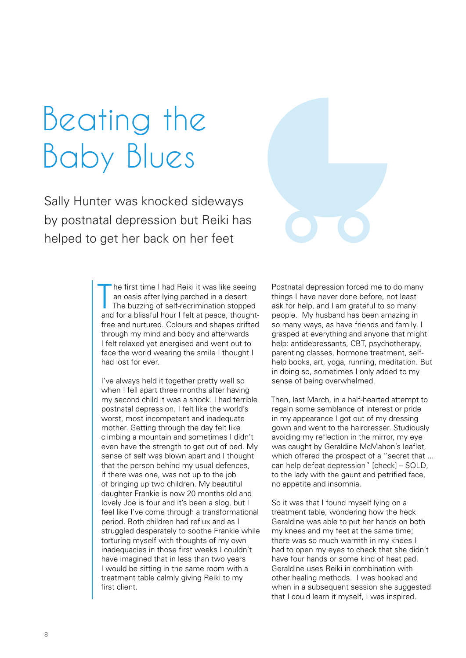## Beating the Baby Blues

Sally Hunter was knocked sideways by postnatal depression but Reiki has helped to get her back on her feet

> T he first time I had Reiki it was like seeing an oasis after lying parched in a desert. The buzzing of self-recrimination stopped and for a blissful hour I felt at peace, thoughtfree and nurtured. Colours and shapes drifted through my mind and body and afterwards I felt relaxed yet energised and went out to face the world wearing the smile I thought I had lost for ever.

I've always held it together pretty well so when I fell apart three months after having my second child it was a shock. I had terrible postnatal depression. I felt like the world's worst, most incompetent and inadequate mother. Getting through the day felt like climbing a mountain and sometimes I didn't even have the strength to get out of bed. My sense of self was blown apart and I thought that the person behind my usual defences, if there was one, was not up to the job of bringing up two children. My beautiful daughter Frankie is now 20 months old and lovely Joe is four and it's been a slog, but I feel like I've come through a transformational period. Both children had reflux and as I struggled desperately to soothe Frankie while torturing myself with thoughts of my own inadequacies in those first weeks I couldn't have imagined that in less than two years I would be sitting in the same room with a treatment table calmly giving Reiki to my first client.

Postnatal depression forced me to do many things I have never done before, not least ask for help, and I am grateful to so many people. My husband has been amazing in so many ways, as have friends and family. I grasped at everything and anyone that might help: antidepressants, CBT, psychotherapy, parenting classes, hormone treatment, selfhelp books, art, yoga, running, meditation. But in doing so, sometimes I only added to my sense of being overwhelmed.

Then, last March, in a half-hearted attempt to regain some semblance of interest or pride in my appearance I got out of my dressing gown and went to the hairdresser. Studiously avoiding my reflection in the mirror, my eye was caught by Geraldine McMahon's leaflet, which offered the prospect of a "secret that ... can help defeat depression" [check] – SOLD, to the lady with the gaunt and petrified face, no appetite and insomnia.

So it was that I found myself lying on a treatment table, wondering how the heck Geraldine was able to put her hands on both my knees and my feet at the same time; there was so much warmth in my knees I had to open my eyes to check that she didn't have four hands or some kind of heat pad. Geraldine uses Reiki in combination with other healing methods. I was hooked and when in a subsequent session she suggested that I could learn it myself, I was inspired.